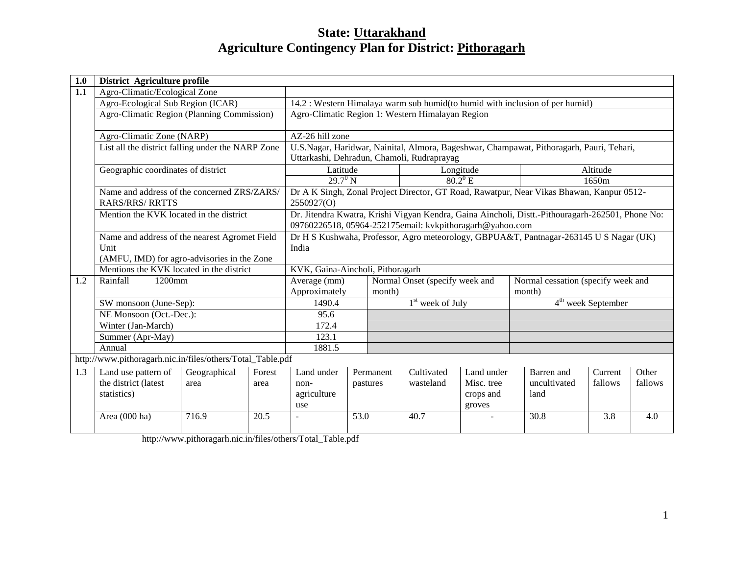# **State: Uttarakhand Agriculture Contingency Plan for District: Pithoragarh**

| 1.0 | District Agriculture profile                                          |                                                                                                 |                                                                                                                                                              |                                                |                                                  |           |                    |                                                                                          |                                                                                          |                      |         |
|-----|-----------------------------------------------------------------------|-------------------------------------------------------------------------------------------------|--------------------------------------------------------------------------------------------------------------------------------------------------------------|------------------------------------------------|--------------------------------------------------|-----------|--------------------|------------------------------------------------------------------------------------------|------------------------------------------------------------------------------------------|----------------------|---------|
| 1.1 | Agro-Climatic/Ecological Zone                                         |                                                                                                 |                                                                                                                                                              |                                                |                                                  |           |                    |                                                                                          |                                                                                          |                      |         |
|     | Agro-Ecological Sub Region (ICAR)                                     |                                                                                                 |                                                                                                                                                              |                                                |                                                  |           |                    |                                                                                          | 14.2 : Western Himalaya warm sub humid(to humid with inclusion of per humid)             |                      |         |
|     | Agro-Climatic Region (Planning Commission)                            |                                                                                                 |                                                                                                                                                              |                                                | Agro-Climatic Region 1: Western Himalayan Region |           |                    |                                                                                          |                                                                                          |                      |         |
|     | Agro-Climatic Zone (NARP)                                             |                                                                                                 |                                                                                                                                                              | AZ-26 hill zone                                |                                                  |           |                    |                                                                                          |                                                                                          |                      |         |
|     | List all the district falling under the NARP Zone                     |                                                                                                 |                                                                                                                                                              | Uttarkashi, Dehradun, Chamoli, Rudraprayag     |                                                  |           |                    |                                                                                          | U.S.Nagar, Haridwar, Nainital, Almora, Bageshwar, Champawat, Pithoragarh, Pauri, Tehari, |                      |         |
|     | Geographic coordinates of district                                    |                                                                                                 |                                                                                                                                                              | Latitude                                       |                                                  |           |                    | Longitude                                                                                |                                                                                          | Altitude             |         |
|     |                                                                       |                                                                                                 |                                                                                                                                                              | $29.7^{\circ}$ N                               |                                                  |           |                    | $80.2^0$ E                                                                               |                                                                                          | 1650m                |         |
|     | Name and address of the concerned ZRS/ZARS/<br><b>RARS/RRS/ RRTTS</b> |                                                                                                 | 2550927(O)                                                                                                                                                   |                                                |                                                  |           |                    | Dr A K Singh, Zonal Project Director, GT Road, Rawatpur, Near Vikas Bhawan, Kanpur 0512- |                                                                                          |                      |         |
|     | Mention the KVK located in the district                               |                                                                                                 | Dr. Jitendra Kwatra, Krishi Vigyan Kendra, Gaina Aincholi, Distt.-Pithouragarh-262501, Phone No:<br>09760226518, 05964-252175email: kvkpithoragarh@yahoo.com |                                                |                                                  |           |                    |                                                                                          |                                                                                          |                      |         |
|     | Name and address of the nearest Agromet Field<br>Unit                 | Dr H S Kushwaha, Professor, Agro meteorology, GBPUA&T, Pantnagar-263145 U S Nagar (UK)<br>India |                                                                                                                                                              |                                                |                                                  |           |                    |                                                                                          |                                                                                          |                      |         |
|     | (AMFU, IMD) for agro-advisories in the Zone                           |                                                                                                 |                                                                                                                                                              |                                                |                                                  |           |                    |                                                                                          |                                                                                          |                      |         |
|     | Mentions the KVK located in the district                              |                                                                                                 |                                                                                                                                                              | KVK, Gaina-Aincholi, Pithoragarh               |                                                  |           |                    |                                                                                          |                                                                                          |                      |         |
| 1.2 | Rainfall<br>1200mm                                                    |                                                                                                 |                                                                                                                                                              | Normal Onset (specify week and<br>Average (mm) |                                                  |           |                    | Normal cessation (specify week and                                                       |                                                                                          |                      |         |
|     |                                                                       |                                                                                                 |                                                                                                                                                              | Approximately<br>month)                        |                                                  |           | month)             |                                                                                          |                                                                                          |                      |         |
|     | SW monsoon (June-Sep):                                                |                                                                                                 |                                                                                                                                                              | 1490.4                                         |                                                  |           | $1st$ week of July |                                                                                          |                                                                                          | $4th$ week September |         |
|     | NE Monsoon (Oct.-Dec.):                                               |                                                                                                 |                                                                                                                                                              | 95.6                                           |                                                  |           |                    |                                                                                          |                                                                                          |                      |         |
|     | Winter (Jan-March)                                                    |                                                                                                 |                                                                                                                                                              | 172.4                                          |                                                  |           |                    |                                                                                          |                                                                                          |                      |         |
|     | Summer (Apr-May)                                                      |                                                                                                 |                                                                                                                                                              | 123.1                                          |                                                  |           |                    |                                                                                          |                                                                                          |                      |         |
|     | Annual                                                                |                                                                                                 |                                                                                                                                                              | 1881.5                                         |                                                  |           |                    |                                                                                          |                                                                                          |                      |         |
|     | http://www.pithoragarh.nic.in/files/others/Total_Table.pdf            |                                                                                                 |                                                                                                                                                              |                                                |                                                  |           |                    |                                                                                          |                                                                                          |                      |         |
| 1.3 | Land use pattern of                                                   | Geographical                                                                                    | Forest                                                                                                                                                       | Land under                                     |                                                  | Permanent | Cultivated         | Land under                                                                               | Barren and                                                                               | Current              | Other   |
|     | the district (latest                                                  | area                                                                                            | area                                                                                                                                                         | non-                                           | pastures                                         |           | wasteland          | Misc. tree                                                                               | uncultivated                                                                             | fallows              | fallows |
|     | statistics)                                                           |                                                                                                 |                                                                                                                                                              | agriculture<br>use                             |                                                  |           |                    | crops and<br>groves                                                                      | land                                                                                     |                      |         |
|     | Area (000 ha)                                                         | 716.9                                                                                           | 20.5                                                                                                                                                         |                                                | 53.0                                             |           | 40.7               |                                                                                          | 30.8                                                                                     | 3.8                  | 4.0     |
|     |                                                                       |                                                                                                 |                                                                                                                                                              |                                                |                                                  |           |                    |                                                                                          |                                                                                          |                      |         |

http://www.pithoragarh.nic.in/files/others/Total\_Table.pdf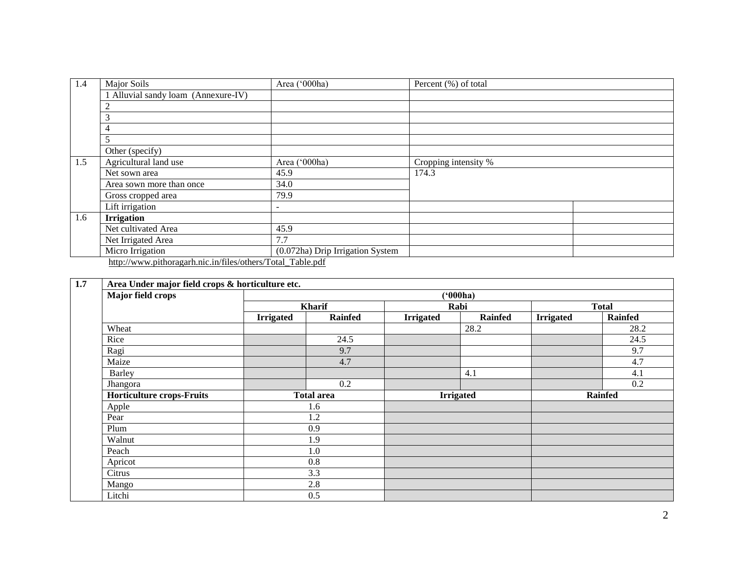| 1.4 | Major Soils                                                | Area ('000ha)                    | Percent (%) of total |  |  |  |  |  |  |
|-----|------------------------------------------------------------|----------------------------------|----------------------|--|--|--|--|--|--|
|     | 1 Alluvial sandy loam (Annexure-IV)                        |                                  |                      |  |  |  |  |  |  |
|     |                                                            |                                  |                      |  |  |  |  |  |  |
|     | 3                                                          |                                  |                      |  |  |  |  |  |  |
|     | 4                                                          |                                  |                      |  |  |  |  |  |  |
|     | 5                                                          |                                  |                      |  |  |  |  |  |  |
|     | Other (specify)                                            |                                  |                      |  |  |  |  |  |  |
| 1.5 | Agricultural land use                                      | Area ('000ha)                    | Cropping intensity % |  |  |  |  |  |  |
|     | Net sown area                                              | 45.9                             | 174.3                |  |  |  |  |  |  |
|     | Area sown more than once                                   | 34.0                             |                      |  |  |  |  |  |  |
|     | Gross cropped area                                         | 79.9                             |                      |  |  |  |  |  |  |
|     | Lift irrigation                                            | -                                |                      |  |  |  |  |  |  |
| 1.6 | <b>Irrigation</b>                                          |                                  |                      |  |  |  |  |  |  |
|     | Net cultivated Area                                        | 45.9                             |                      |  |  |  |  |  |  |
|     | Net Irrigated Area                                         | 7.7                              |                      |  |  |  |  |  |  |
|     | Micro Irrigation                                           | (0.072ha) Drip Irrigation System |                      |  |  |  |  |  |  |
|     | http://www.pithoragarh.nic.in/files/others/Total_Table.pdf |                                  |                      |  |  |  |  |  |  |

| Major field crops                |                   | (000ha)        |                  |                |                  |                |  |  |  |  |
|----------------------------------|-------------------|----------------|------------------|----------------|------------------|----------------|--|--|--|--|
|                                  |                   | Kharif         |                  | Rabi           | <b>Total</b>     |                |  |  |  |  |
|                                  | <b>Irrigated</b>  | <b>Rainfed</b> | <b>Irrigated</b> | <b>Rainfed</b> | <b>Irrigated</b> | <b>Rainfed</b> |  |  |  |  |
| Wheat                            |                   |                |                  | 28.2           |                  | 28.2           |  |  |  |  |
| Rice                             |                   | 24.5           |                  |                |                  | 24.5           |  |  |  |  |
| Ragi                             |                   | 9.7            |                  |                |                  | 9.7            |  |  |  |  |
| Maize                            |                   | 4.7            |                  |                |                  | 4.7            |  |  |  |  |
| Barley                           |                   |                |                  | 4.1            |                  | 4.1            |  |  |  |  |
| Jhangora                         |                   | 0.2            |                  |                |                  | 0.2            |  |  |  |  |
| <b>Horticulture crops-Fruits</b> | <b>Total area</b> |                | <b>Irrigated</b> |                | <b>Rainfed</b>   |                |  |  |  |  |
| Apple                            |                   | 1.6            |                  |                |                  |                |  |  |  |  |
| Pear                             |                   | 1.2            |                  |                |                  |                |  |  |  |  |
| Plum                             |                   | 0.9            |                  |                |                  |                |  |  |  |  |
| Walnut                           |                   | 1.9            |                  |                |                  |                |  |  |  |  |
| Peach                            |                   | 1.0            |                  |                |                  |                |  |  |  |  |
| Apricot                          |                   | 0.8            |                  |                |                  |                |  |  |  |  |
| Citrus                           |                   | 3.3            |                  |                |                  |                |  |  |  |  |
| Mango                            |                   | 2.8            |                  |                |                  |                |  |  |  |  |
| Litchi                           |                   | 0.5            |                  |                |                  |                |  |  |  |  |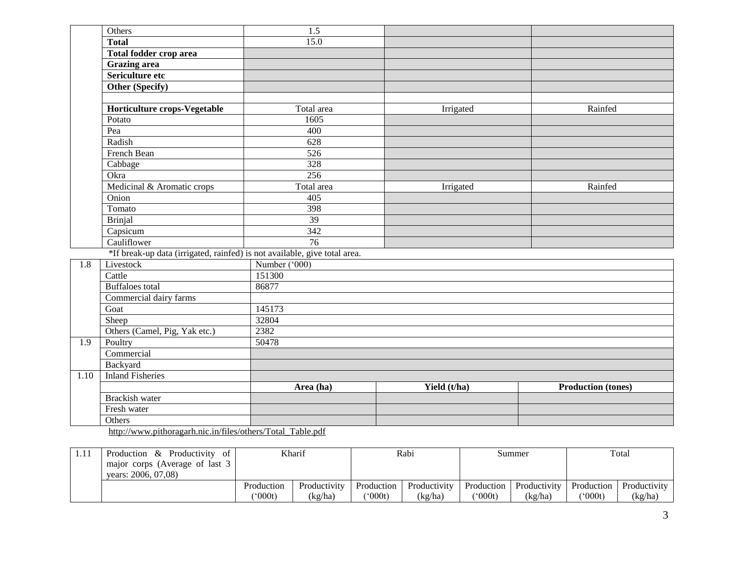|                  | Others                                                                    | $\overline{1.5}$ |              |                           |
|------------------|---------------------------------------------------------------------------|------------------|--------------|---------------------------|
|                  | <b>Total</b>                                                              | 15.0             |              |                           |
|                  | Total fodder crop area                                                    |                  |              |                           |
|                  | <b>Grazing</b> area                                                       |                  |              |                           |
|                  | Sericulture etc                                                           |                  |              |                           |
|                  | Other (Specify)                                                           |                  |              |                           |
|                  |                                                                           |                  |              |                           |
|                  | Horticulture crops-Vegetable                                              | Total area       | Irrigated    | Rainfed                   |
|                  | Potato                                                                    | 1605             |              |                           |
|                  | Pea                                                                       | 400              |              |                           |
|                  | Radish                                                                    | 628              |              |                           |
|                  | French Bean                                                               | 526              |              |                           |
|                  | Cabbage                                                                   | 328              |              |                           |
|                  | Okra                                                                      | 256              |              |                           |
|                  | Medicinal & Aromatic crops                                                | Total area       | Irrigated    | Rainfed                   |
|                  | Onion                                                                     | 405              |              |                           |
|                  | Tomato                                                                    | 398              |              |                           |
|                  | <b>Brinjal</b>                                                            | 39               |              |                           |
|                  | Capsicum                                                                  | 342              |              |                           |
|                  | Cauliflower                                                               | 76               |              |                           |
|                  | *If break-up data (irrigated, rainfed) is not available, give total area. |                  |              |                           |
| $\overline{1.8}$ | Livestock                                                                 | Number ('000)    |              |                           |
|                  | Cattle                                                                    | 151300           |              |                           |
|                  | <b>Buffaloes</b> total                                                    | 86877            |              |                           |
|                  | Commercial dairy farms                                                    |                  |              |                           |
|                  | Goat                                                                      | 145173           |              |                           |
|                  | Sheep                                                                     | 32804            |              |                           |
|                  | Others (Camel, Pig, Yak etc.)                                             | 2382             |              |                           |
| $\overline{1.9}$ | Poultry                                                                   | 50478            |              |                           |
|                  | Commercial                                                                |                  |              |                           |
|                  | Backyard                                                                  |                  |              |                           |
| 1.10             | <b>Inland Fisheries</b>                                                   |                  |              |                           |
|                  |                                                                           | Area (ha)        | Yield (t/ha) | <b>Production (tones)</b> |
|                  | <b>Brackish water</b>                                                     |                  |              |                           |
|                  | Fresh water                                                               |                  |              |                           |
|                  | Others                                                                    |                  |              |                           |
|                  | http://www.pithoragarh.nic.in/files/others/Total_Table.pdf                |                  |              |                           |

| 1.1. | & Productivity<br>Production<br>ot<br>major corps (Average of last 3<br>years: 2006, 07,08) | Kharif               |                         |                       | Rabi                    |                                 | Summer                  |                                       | Total                   |  |
|------|---------------------------------------------------------------------------------------------|----------------------|-------------------------|-----------------------|-------------------------|---------------------------------|-------------------------|---------------------------------------|-------------------------|--|
|      |                                                                                             | Production<br>(000t) | Productivity<br>(kg/ha) | Production<br>(*000t) | Productivity<br>(kg/ha) | Production<br>$^{\prime}000$ t) | Productivity<br>(kg/ha) | Production<br>$^{\prime\prime}$ 000t) | Productivity<br>(kg/ha) |  |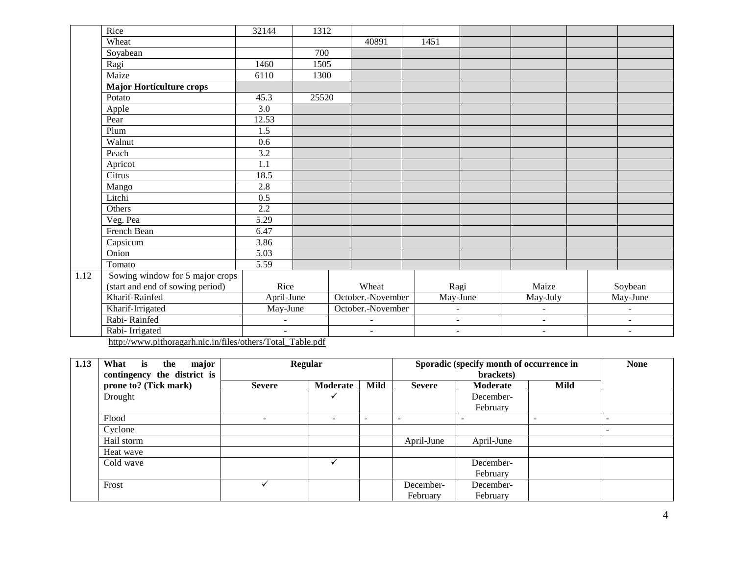| Wheat<br>40891<br>1451<br>700<br>Soyabean<br>Ragi<br>1460<br>1505<br>Maize<br>6110<br>1300<br>Major Horticulture crops<br>Potato<br>45.3<br>25520<br>$\overline{3.0}$<br>Apple<br>12.53<br>Pear |  |
|-------------------------------------------------------------------------------------------------------------------------------------------------------------------------------------------------|--|
|                                                                                                                                                                                                 |  |
|                                                                                                                                                                                                 |  |
|                                                                                                                                                                                                 |  |
|                                                                                                                                                                                                 |  |
|                                                                                                                                                                                                 |  |
|                                                                                                                                                                                                 |  |
|                                                                                                                                                                                                 |  |
|                                                                                                                                                                                                 |  |
| Plum<br>1.5                                                                                                                                                                                     |  |
| Walnut<br>0.6                                                                                                                                                                                   |  |
| 3.2<br>Peach                                                                                                                                                                                    |  |
| Apricot<br>1.1                                                                                                                                                                                  |  |
| 18.5<br>Citrus                                                                                                                                                                                  |  |
| 2.8<br>Mango                                                                                                                                                                                    |  |
| Litchi<br>0.5                                                                                                                                                                                   |  |
| 2.2<br>Others                                                                                                                                                                                   |  |
| $\overline{5.29}$<br>Veg. Pea                                                                                                                                                                   |  |
| French Bean<br>6.47                                                                                                                                                                             |  |
| Capsicum<br>3.86                                                                                                                                                                                |  |
| Onion<br>5.03                                                                                                                                                                                   |  |
| Tomato<br>5.59                                                                                                                                                                                  |  |
| Sowing window for 5 major crops<br>1.12                                                                                                                                                         |  |
| (start and end of sowing period)<br>Rice<br>Maize<br>Wheat<br>Ragi<br>Soybean                                                                                                                   |  |
| Kharif-Rainfed<br>October.-November<br>April-June<br>May-June<br>May-July<br>May-June                                                                                                           |  |
| Kharif-Irrigated<br>May-June<br>October.-November<br>$\overline{a}$<br>$\overline{\phantom{a}}$<br>$\overline{\phantom{a}}$                                                                     |  |
| Rabi-Rainfed<br>$\blacksquare$<br>$\sim$<br>$\blacksquare$<br>$\overline{\phantom{a}}$<br>$\overline{\phantom{a}}$                                                                              |  |
| Rabi-Irrigated<br>$\blacksquare$<br>$\blacksquare$<br>$\blacksquare$<br>$\blacksquare$<br>$\blacksquare$<br>http://www.pithonogogh.pio.in/files/othono/Fotol. Toble ndf                         |  |

[http://www.pithoragarh.nic.in/files/others/Total\\_Table.pdf](http://www.pithoragarh.nic.in/files/others/Total_Table.pdf)

| 1.13 | major<br>Regular<br>is<br>What<br>the |               |          |      |               | Sporadic (specify month of occurrence in |      | <b>None</b> |
|------|---------------------------------------|---------------|----------|------|---------------|------------------------------------------|------|-------------|
|      | contingency the district is           |               |          |      |               | brackets)                                |      |             |
|      | prone to? (Tick mark)                 | <b>Severe</b> | Moderate | Mild | <b>Severe</b> | Moderate                                 | Mild |             |
|      | Drought                               |               |          |      |               | December-                                |      |             |
|      |                                       |               |          |      |               | February                                 |      |             |
|      | Flood                                 |               |          |      |               |                                          |      |             |
|      | Cyclone                               |               |          |      |               |                                          |      |             |
|      | Hail storm                            |               |          |      | April-June    | April-June                               |      |             |
|      | Heat wave                             |               |          |      |               |                                          |      |             |
|      | Cold wave                             |               |          |      |               | December-                                |      |             |
|      |                                       |               |          |      |               | February                                 |      |             |
|      | Frost                                 |               |          |      | December-     | December-                                |      |             |
|      |                                       |               |          |      | February      | February                                 |      |             |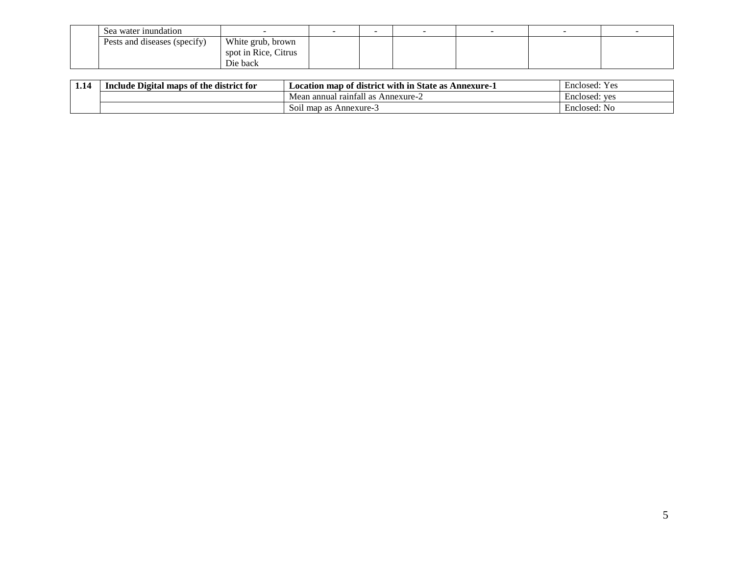| Sea water inundation         |                      |  | $\overline{\phantom{a}}$ |  |
|------------------------------|----------------------|--|--------------------------|--|
| Pests and diseases (specify) | White grub, brown    |  |                          |  |
|                              | spot in Rice, Citrus |  |                          |  |
|                              | Die back             |  |                          |  |

| 1.14 | $\sim$<br>e district for<br><b>l</b> maps of the<br>Include<br>Digital | <b>State as</b><br>Location map of district with in<br>Annexure-1    | $Y \alpha c$<br>Enclosed:<br>1 U.S |
|------|------------------------------------------------------------------------|----------------------------------------------------------------------|------------------------------------|
|      |                                                                        | .<br>Annexure- $\angle$<br>ı annual raintall<br>Mean<br>$\mathbf{a}$ | Enclosed: ves                      |
|      |                                                                        | S01l<br>Annexure-3<br>map as                                         | Enclosed: No                       |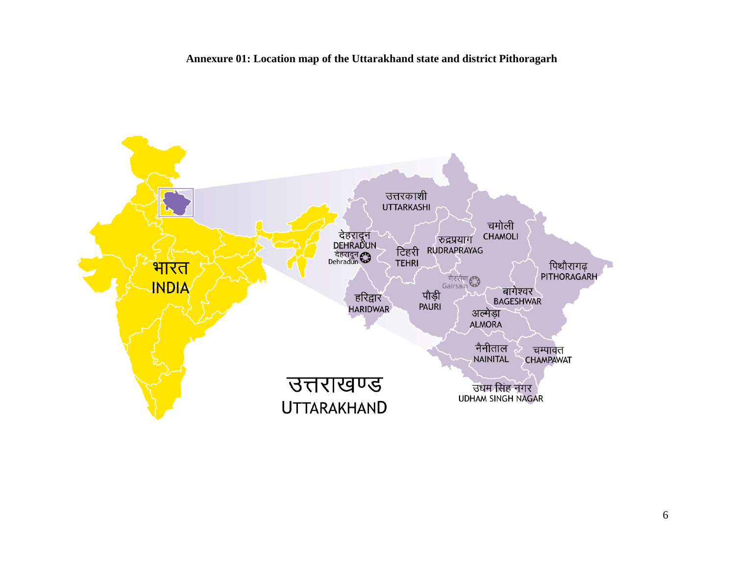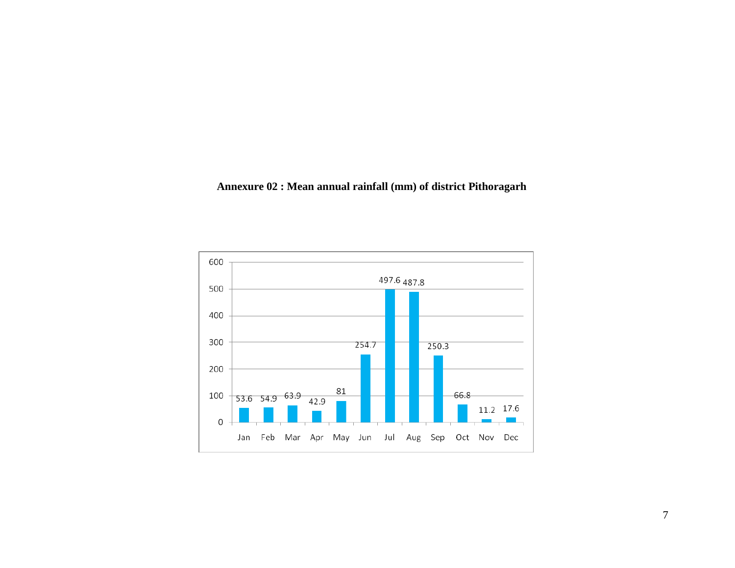# **Annexure 02 : Mean annual rainfall (mm) of district Pithoragarh**

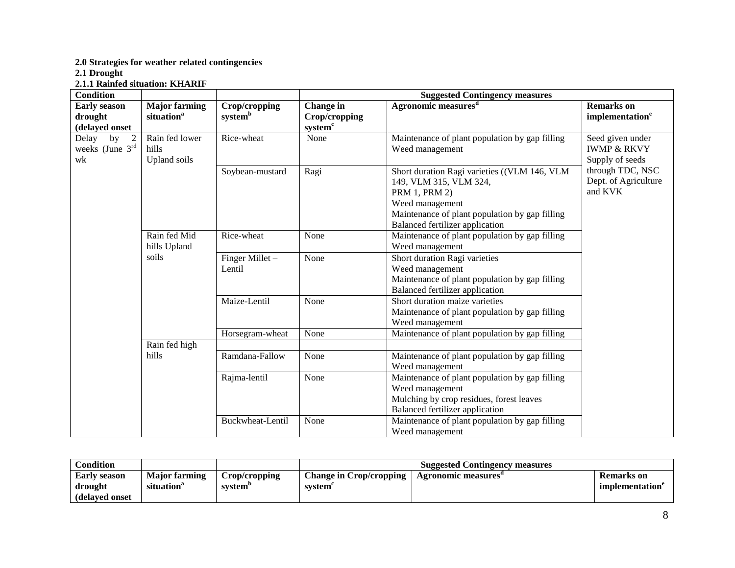**2.0 Strategies for weather related contingencies**

**2.1 Drought**

**2.1.1 Rainfed situation: KHARIF**

| <b>Condition</b>                                 |                                                |                           |                                                   | <b>Suggested Contingency measures</b>                                                                                                                                                                  |                                                               |
|--------------------------------------------------|------------------------------------------------|---------------------------|---------------------------------------------------|--------------------------------------------------------------------------------------------------------------------------------------------------------------------------------------------------------|---------------------------------------------------------------|
| <b>Early season</b><br>drought<br>(delayed onset | <b>Major farming</b><br>situation <sup>a</sup> | Crop/cropping<br>systemb  | Change in<br>Crop/cropping<br>system <sup>c</sup> | Agronomic measures <sup>d</sup>                                                                                                                                                                        | <b>Remarks</b> on<br>implementation <sup>e</sup>              |
| 2<br>Delay<br>by<br>weeks (June $3rd$<br>wk      | Rain fed lower<br>hills<br>Upland soils        | Rice-wheat                | None                                              | Maintenance of plant population by gap filling<br>Weed management                                                                                                                                      | Seed given under<br><b>IWMP &amp; RKVY</b><br>Supply of seeds |
|                                                  |                                                | Soybean-mustard           | Ragi                                              | Short duration Ragi varieties ((VLM 146, VLM<br>149, VLM 315, VLM 324,<br><b>PRM 1, PRM 2)</b><br>Weed management<br>Maintenance of plant population by gap filling<br>Balanced fertilizer application | through TDC, NSC<br>Dept. of Agriculture<br>and KVK           |
|                                                  | Rain fed Mid<br>hills Upland                   | Rice-wheat                | None                                              | Maintenance of plant population by gap filling<br>Weed management                                                                                                                                      |                                                               |
|                                                  | soils                                          | Finger Millet -<br>Lentil | None                                              | Short duration Ragi varieties<br>Weed management<br>Maintenance of plant population by gap filling<br><b>Balanced fertilizer application</b>                                                           |                                                               |
|                                                  |                                                | Maize-Lentil              | None                                              | Short duration maize varieties<br>Maintenance of plant population by gap filling<br>Weed management                                                                                                    |                                                               |
|                                                  |                                                | Horsegram-wheat           | None                                              | Maintenance of plant population by gap filling                                                                                                                                                         |                                                               |
|                                                  | Rain fed high                                  |                           |                                                   |                                                                                                                                                                                                        |                                                               |
|                                                  | hills                                          | Ramdana-Fallow            | None                                              | Maintenance of plant population by gap filling<br>Weed management                                                                                                                                      |                                                               |
|                                                  |                                                | Rajma-lentil              | None                                              | Maintenance of plant population by gap filling<br>Weed management<br>Mulching by crop residues, forest leaves<br>Balanced fertilizer application                                                       |                                                               |
|                                                  |                                                | Buckwheat-Lentil          | None                                              | Maintenance of plant population by gap filling<br>Weed management                                                                                                                                      |                                                               |

| Condition                      |                                                |                                      |                                                        | <b>Suggested Contingency measures</b> |                                            |
|--------------------------------|------------------------------------------------|--------------------------------------|--------------------------------------------------------|---------------------------------------|--------------------------------------------|
| <b>Early season</b><br>drought | <b>Maior farming</b><br>situation <sup>®</sup> | Crop/cropping<br>system <sup>'</sup> | Change in Crop/cropping   Agronomic measures<br>system |                                       | <b>Remarks</b> on<br><i>implementation</i> |
| (delayed onset)                |                                                |                                      |                                                        |                                       |                                            |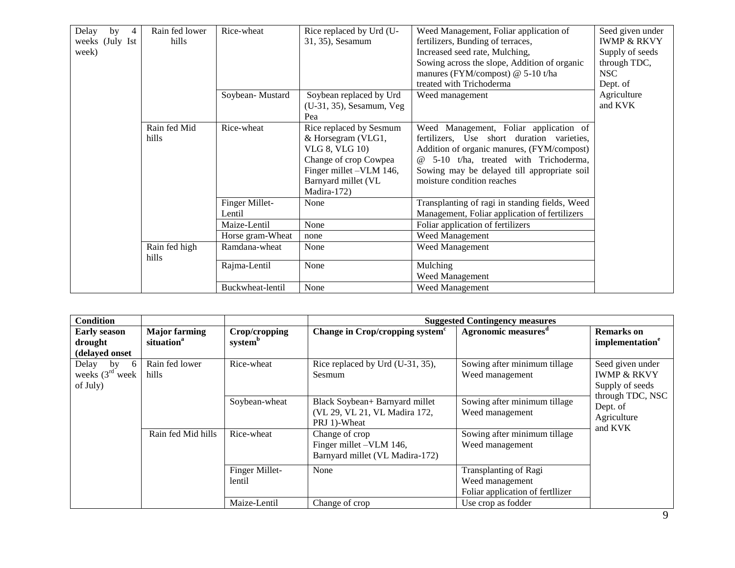| Delay<br>by<br>4 | Rain fed lower         | Rice-wheat       | Rice replaced by Urd (U- | Weed Management, Foliar application of         | Seed given under       |
|------------------|------------------------|------------------|--------------------------|------------------------------------------------|------------------------|
| weeks (July Ist  | hills                  |                  | 31, 35), Sesamum         | fertilizers, Bunding of terraces,              | <b>IWMP &amp; RKVY</b> |
| week)            |                        |                  |                          | Increased seed rate, Mulching,                 | Supply of seeds        |
|                  |                        |                  |                          | Sowing across the slope, Addition of organic   | through TDC,           |
|                  |                        |                  |                          | manures (FYM/compost) @ 5-10 t/ha              | NSC                    |
|                  |                        |                  |                          | treated with Trichoderma                       | Dept. of               |
|                  |                        | Soybean-Mustard  | Soybean replaced by Urd  | Weed management                                | Agriculture            |
|                  |                        |                  | (U-31, 35), Sesamum, Veg |                                                | and KVK                |
|                  |                        |                  | Pea                      |                                                |                        |
|                  | Rain fed Mid           | Rice-wheat       | Rice replaced by Sesmum  | Weed Management, Foliar application of         |                        |
|                  | hills                  |                  | & Horsegram (VLG1,       | fertilizers, Use short duration varieties,     |                        |
|                  |                        |                  | <b>VLG 8, VLG 10)</b>    | Addition of organic manures, (FYM/compost)     |                        |
|                  |                        |                  | Change of crop Cowpea    | @ 5-10 t/ha, treated with Trichoderma,         |                        |
|                  |                        |                  | Finger millet -VLM 146,  | Sowing may be delayed till appropriate soil    |                        |
|                  |                        |                  | Barnyard millet (VL      | moisture condition reaches                     |                        |
|                  |                        |                  | Madira-172)              |                                                |                        |
|                  |                        | Finger Millet-   | None                     | Transplanting of ragi in standing fields, Weed |                        |
|                  |                        | Lentil           |                          | Management, Foliar application of fertilizers  |                        |
|                  |                        | Maize-Lentil     | None                     | Foliar application of fertilizers              |                        |
|                  |                        | Horse gram-Wheat | none                     | Weed Management                                |                        |
|                  | Rain fed high<br>hills | Ramdana-wheat    | None                     | <b>Weed Management</b>                         |                        |
|                  |                        | Rajma-Lentil     | None                     | Mulching                                       |                        |
|                  |                        |                  |                          | <b>Weed Management</b>                         |                        |
|                  |                        | Buckwheat-lentil | None                     | Weed Management                                |                        |

| <b>Condition</b>                                    |                                                |                                      |                                                                                 | <b>Suggested Contingency measures</b>                                        |                                                               |
|-----------------------------------------------------|------------------------------------------------|--------------------------------------|---------------------------------------------------------------------------------|------------------------------------------------------------------------------|---------------------------------------------------------------|
| <b>Early season</b><br>drought<br>(delayed onset    | <b>Major farming</b><br>situation <sup>a</sup> | Crop/cropping<br>system <sup>b</sup> | Change in Crop/cropping system <sup>c</sup>                                     | <b>Agronomic measures</b> <sup>d</sup>                                       | <b>Remarks</b> on<br>implementation <sup>e</sup>              |
| Delay<br>- 6<br>by<br>weeks $(3rd$ week<br>of July) | Rain fed lower<br>hills                        | Rice-wheat                           | Rice replaced by Urd (U-31, 35),<br>Sesmum                                      | Sowing after minimum tillage<br>Weed management                              | Seed given under<br><b>IWMP &amp; RKVY</b><br>Supply of seeds |
|                                                     |                                                | Soybean-wheat                        | Black Soybean+ Barnyard millet<br>(VL 29, VL 21, VL Madira 172,<br>PRJ 1)-Wheat | Sowing after minimum tillage<br>Weed management                              | through TDC, NSC<br>Dept. of<br>Agriculture<br>and KVK        |
|                                                     | Rain fed Mid hills                             | Rice-wheat                           | Change of crop<br>Finger millet -VLM 146,<br>Barnyard millet (VL Madira-172)    | Sowing after minimum tillage<br>Weed management                              |                                                               |
|                                                     |                                                | Finger Millet-<br>lentil             | None                                                                            | Transplanting of Ragi<br>Weed management<br>Foliar application of fertilizer |                                                               |
|                                                     |                                                | Maize-Lentil                         | Change of crop                                                                  | Use crop as fodder                                                           |                                                               |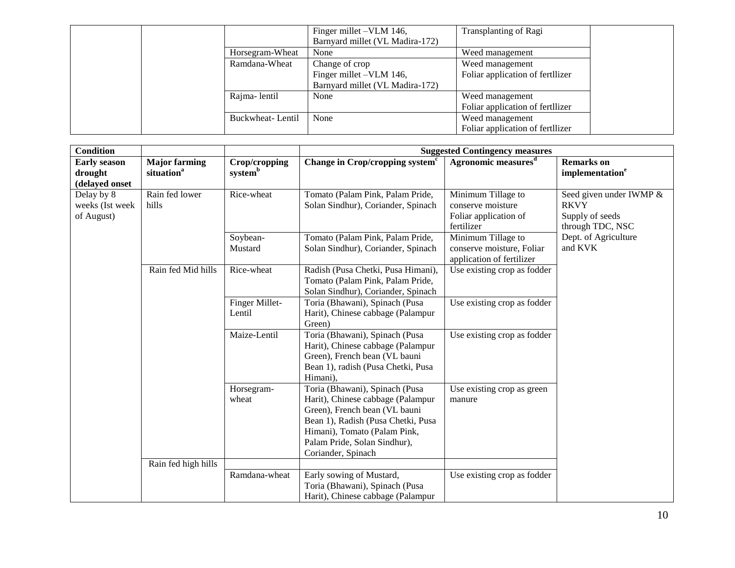|                  | Finger millet – VLM 146,        | Transplanting of Ragi            |
|------------------|---------------------------------|----------------------------------|
|                  | Barnyard millet (VL Madira-172) |                                  |
| Horsegram-Wheat  | None                            | Weed management                  |
| Ramdana-Wheat    | Change of crop                  | Weed management                  |
|                  | Finger millet -VLM 146,         | Foliar application of fertilizer |
|                  | Barnyard millet (VL Madira-172) |                                  |
| Rajma-lentil     | None                            | Weed management                  |
|                  |                                 | Foliar application of fertilizer |
| Buckwheat-Lentil | None                            | Weed management                  |
|                  |                                 | Foliar application of fertilizer |

| <b>Condition</b>                                 |                                                |                                      | <b>Suggested Contingency measures</b>                                                                                                                                                                                            |                                                                                |                                                                               |
|--------------------------------------------------|------------------------------------------------|--------------------------------------|----------------------------------------------------------------------------------------------------------------------------------------------------------------------------------------------------------------------------------|--------------------------------------------------------------------------------|-------------------------------------------------------------------------------|
| <b>Early season</b><br>drought<br>(delayed onset | <b>Major farming</b><br>situation <sup>a</sup> | Crop/cropping<br>system <sup>b</sup> | Change in Crop/cropping system <sup>c</sup>                                                                                                                                                                                      | Agronomic measures <sup>d</sup>                                                | <b>Remarks</b> on<br>implementation <sup>e</sup>                              |
| Delay by 8<br>weeks (Ist week<br>of August)      | Rain fed lower<br>hills                        | Rice-wheat                           | Tomato (Palam Pink, Palam Pride,<br>Solan Sindhur), Coriander, Spinach                                                                                                                                                           | Minimum Tillage to<br>conserve moisture<br>Foliar application of<br>fertilizer | Seed given under IWMP &<br><b>RKVY</b><br>Supply of seeds<br>through TDC, NSC |
|                                                  |                                                | Soybean-<br>Mustard                  | Tomato (Palam Pink, Palam Pride,<br>Solan Sindhur), Coriander, Spinach                                                                                                                                                           | Minimum Tillage to<br>conserve moisture, Foliar<br>application of fertilizer   | Dept. of Agriculture<br>and KVK                                               |
|                                                  | Rain fed Mid hills                             | Rice-wheat                           | Radish (Pusa Chetki, Pusa Himani),<br>Tomato (Palam Pink, Palam Pride,<br>Solan Sindhur), Coriander, Spinach                                                                                                                     | Use existing crop as fodder                                                    |                                                                               |
|                                                  |                                                | Finger Millet-<br>Lentil             | Toria (Bhawani), Spinach (Pusa<br>Harit), Chinese cabbage (Palampur<br>Green)                                                                                                                                                    | Use existing crop as fodder                                                    |                                                                               |
|                                                  |                                                | Maize-Lentil                         | Toria (Bhawani), Spinach (Pusa<br>Harit), Chinese cabbage (Palampur<br>Green), French bean (VL bauni<br>Bean 1), radish (Pusa Chetki, Pusa<br>Himani),                                                                           | Use existing crop as fodder                                                    |                                                                               |
|                                                  |                                                | Horsegram-<br>wheat                  | Toria (Bhawani), Spinach (Pusa<br>Harit), Chinese cabbage (Palampur<br>Green), French bean (VL bauni<br>Bean 1), Radish (Pusa Chetki, Pusa<br>Himani), Tomato (Palam Pink,<br>Palam Pride, Solan Sindhur),<br>Coriander, Spinach | Use existing crop as green<br>manure                                           |                                                                               |
|                                                  | Rain fed high hills                            | Ramdana-wheat                        | Early sowing of Mustard,<br>Toria (Bhawani), Spinach (Pusa<br>Harit), Chinese cabbage (Palampur                                                                                                                                  | Use existing crop as fodder                                                    |                                                                               |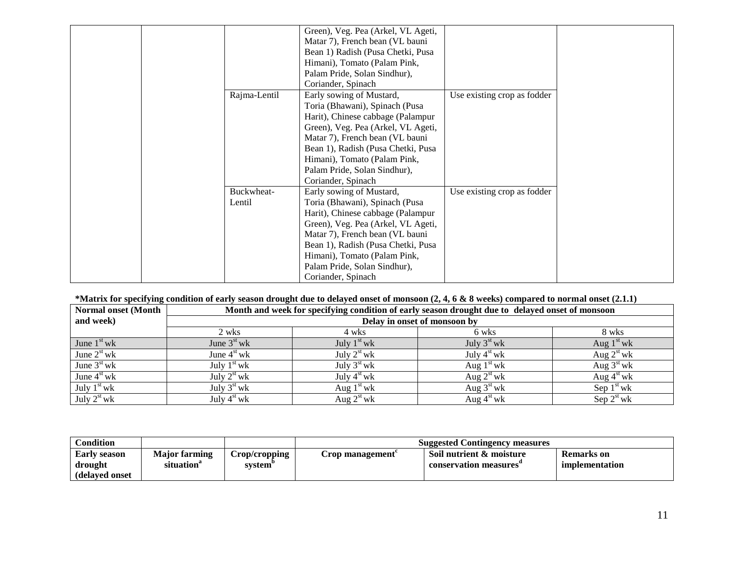|              | Green), Veg. Pea (Arkel, VL Ageti, |                             |
|--------------|------------------------------------|-----------------------------|
|              | Matar 7), French bean (VL bauni    |                             |
|              | Bean 1) Radish (Pusa Chetki, Pusa  |                             |
|              | Himani), Tomato (Palam Pink,       |                             |
|              | Palam Pride, Solan Sindhur),       |                             |
|              | Coriander, Spinach                 |                             |
| Rajma-Lentil | Early sowing of Mustard,           | Use existing crop as fodder |
|              | Toria (Bhawani), Spinach (Pusa     |                             |
|              | Harit), Chinese cabbage (Palampur  |                             |
|              | Green), Veg. Pea (Arkel, VL Ageti, |                             |
|              | Matar 7), French bean (VL bauni    |                             |
|              | Bean 1), Radish (Pusa Chetki, Pusa |                             |
|              | Himani), Tomato (Palam Pink,       |                             |
|              | Palam Pride, Solan Sindhur),       |                             |
|              | Coriander, Spinach                 |                             |
| Buckwheat-   | Early sowing of Mustard,           | Use existing crop as fodder |
| Lentil       | Toria (Bhawani), Spinach (Pusa     |                             |
|              | Harit), Chinese cabbage (Palampur  |                             |
|              | Green), Veg. Pea (Arkel, VL Ageti, |                             |
|              | Matar 7), French bean (VL bauni    |                             |
|              | Bean 1), Radish (Pusa Chetki, Pusa |                             |
|              | Himani), Tomato (Palam Pink,       |                             |
|              | Palam Pride, Solan Sindhur),       |                             |
|              | Coriander, Spinach                 |                             |

# **\*Matrix for specifying condition of early season drought due to delayed onset of monsoon (2, 4, 6 & 8 weeks) compared to normal onset (2.1.1)**

| <b>Normal onset (Month)</b> |               |               | Month and week for specifying condition of early season drought due to delayed onset of monsoon |                        |
|-----------------------------|---------------|---------------|-------------------------------------------------------------------------------------------------|------------------------|
| and week)                   |               |               | Delay in onset of monsoon by                                                                    |                        |
|                             | 2 wks         | 4 wks         | 6 wks                                                                                           | 8 wks                  |
| June $1st$ wk               | June $3st$ wk | July $1st$ wk | July $3^{\rm st}$ wk                                                                            | Aug $1st$ wk           |
| June $2st$ wk               | June $4st$ wk | July $2st$ wk | July $4st$ wk                                                                                   | Aug $2st$ wk           |
| June $3st$ wk               | July $1st$ wk | July $3st$ wk | Aug $1st$ wk                                                                                    | Aug $3^{\text{st}}$ wk |
| June $4st$ wk               | July $2st$ wk | July $4st$ wk | Aug $2^{\text{st}}$ wk                                                                          | Aug $4st$ wk           |
| July $1st$ wk               | July $3st$ wk | Aug $1st$ wk  | Aug $3^{\text{st}}$ wk                                                                          | Sep $1st$ wk           |
| July $2st$ wk               | July $4st$ wk | Aug $2st$ wk  | Aug $4st$ wk                                                                                    | Sep $2st$ wk           |

| Condition                                         |                                                |                          |                        | <b>Suggested Contingency measures</b>             |                              |
|---------------------------------------------------|------------------------------------------------|--------------------------|------------------------|---------------------------------------------------|------------------------------|
| <b>Early season</b><br>drought<br>(delayed onset) | <b>Major farming</b><br>situation <sup>a</sup> | Crop/cropping<br>system' | <b>Crop management</b> | Soil nutrient & moisture<br>conservation measures | Remarks on<br>implementation |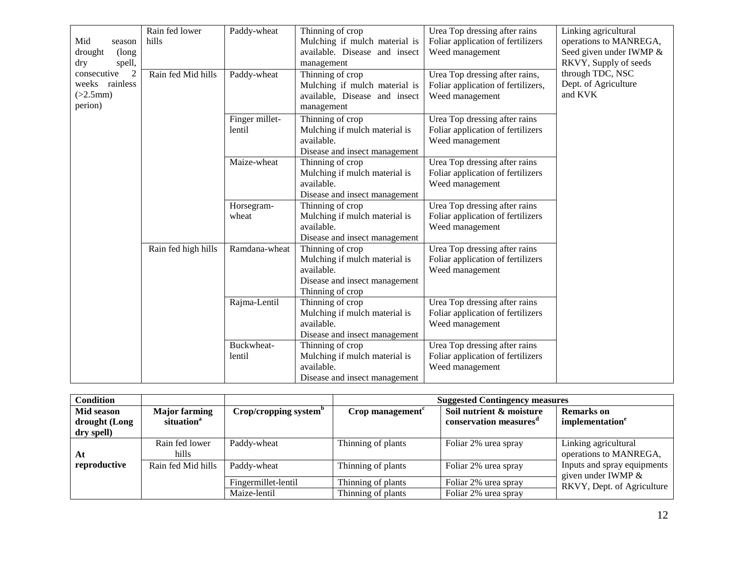|                               | Rain fed lower      | Paddy-wheat    | Thinning of crop              | Urea Top dressing after rains      | Linking agricultural    |
|-------------------------------|---------------------|----------------|-------------------------------|------------------------------------|-------------------------|
| Mid<br>season                 | hills               |                | Mulching if mulch material is | Foliar application of fertilizers  | operations to MANREGA,  |
| drought<br>(long              |                     |                | available. Disease and insect | Weed management                    | Seed given under IWMP & |
| spell,<br>dry                 |                     |                | management                    |                                    | RKVY, Supply of seeds   |
| $\overline{2}$<br>consecutive | Rain fed Mid hills  | Paddy-wheat    | Thinning of crop              | Urea Top dressing after rains,     | through TDC, NSC        |
| rainless<br>weeks             |                     |                | Mulching if mulch material is | Foliar application of fertilizers, | Dept. of Agriculture    |
| (>2.5mm)                      |                     |                | available, Disease and insect | Weed management                    | and KVK                 |
| perion)                       |                     |                | management                    |                                    |                         |
|                               |                     | Finger millet- | Thinning of crop              | Urea Top dressing after rains      |                         |
|                               |                     | lentil         | Mulching if mulch material is | Foliar application of fertilizers  |                         |
|                               |                     |                | available.                    | Weed management                    |                         |
|                               |                     |                | Disease and insect management |                                    |                         |
|                               |                     | Maize-wheat    | Thinning of crop              | Urea Top dressing after rains      |                         |
|                               |                     |                | Mulching if mulch material is | Foliar application of fertilizers  |                         |
|                               |                     |                | available.                    | Weed management                    |                         |
|                               |                     |                | Disease and insect management |                                    |                         |
|                               |                     | Horsegram-     | Thinning of crop              | Urea Top dressing after rains      |                         |
|                               |                     | wheat          | Mulching if mulch material is | Foliar application of fertilizers  |                         |
|                               |                     |                | available.                    | Weed management                    |                         |
|                               |                     |                | Disease and insect management |                                    |                         |
|                               | Rain fed high hills | Ramdana-wheat  | Thinning of crop              | Urea Top dressing after rains      |                         |
|                               |                     |                | Mulching if mulch material is | Foliar application of fertilizers  |                         |
|                               |                     |                | available.                    | Weed management                    |                         |
|                               |                     |                | Disease and insect management |                                    |                         |
|                               |                     |                | Thinning of crop              |                                    |                         |
|                               |                     | Rajma-Lentil   | Thinning of crop              | Urea Top dressing after rains      |                         |
|                               |                     |                | Mulching if mulch material is | Foliar application of fertilizers  |                         |
|                               |                     |                | available.                    | Weed management                    |                         |
|                               |                     |                | Disease and insect management |                                    |                         |
|                               |                     | Buckwheat-     | Thinning of crop              | Urea Top dressing after rains      |                         |
|                               |                     | lentil         | Mulching if mulch material is | Foliar application of fertilizers  |                         |
|                               |                     |                | available.                    | Weed management                    |                         |
|                               |                     |                | Disease and insect management |                                    |                         |

| <b>Condition</b>                          |                                                |                                   |                              | <b>Suggested Contingency measures</b>                          |                                                     |
|-------------------------------------------|------------------------------------------------|-----------------------------------|------------------------------|----------------------------------------------------------------|-----------------------------------------------------|
| Mid season<br>drought (Long<br>dry spell) | <b>Major farming</b><br>situation <sup>a</sup> | Crop/cropping system <sup>b</sup> | Crop management <sup>c</sup> | Soil nutrient & moisture<br>conservation measures <sup>a</sup> | <b>Remarks</b> on<br>implementation <sup>e</sup>    |
| At                                        | Rain fed lower<br>hills                        | Paddy-wheat                       | Thinning of plants           | Foliar 2% urea spray                                           | Linking agricultural<br>operations to MANREGA,      |
| reproductive                              | Rain fed Mid hills                             | Paddy-wheat                       | Thinning of plants           | Foliar 2% urea spray                                           | Inputs and spray equipments<br>given under IWMP $&$ |
|                                           |                                                | Fingermillet-lentil               | Thinning of plants           | Foliar 2% urea spray                                           | RKVY, Dept. of Agriculture                          |
|                                           |                                                | Maize-lentil                      | Thinning of plants           | Foliar 2% urea spray                                           |                                                     |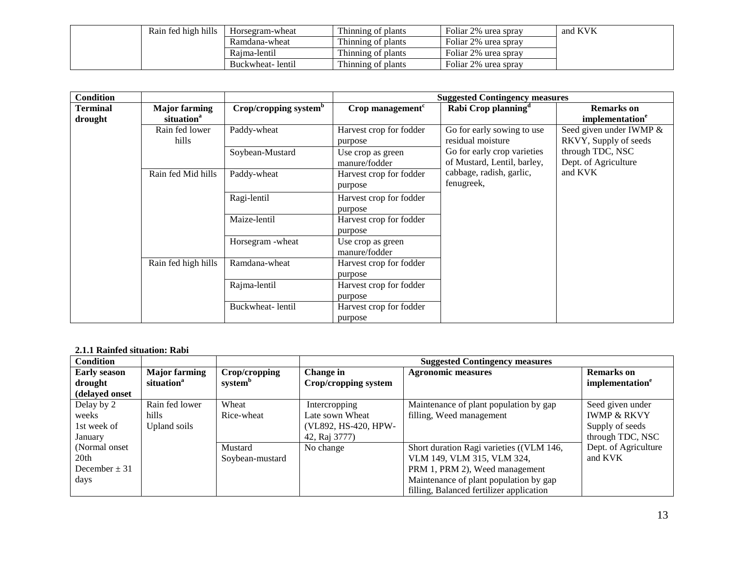| Rain fed high hills | Horsegram-wheat  | Thinning of plants | Foliar 2% urea spray | and KVK |
|---------------------|------------------|--------------------|----------------------|---------|
|                     | Ramdana-wheat    | Thinning of plants | Foliar 2% urea spray |         |
|                     | Raima-lentil     | Thinning of plants | Foliar 2% urea spray |         |
|                     | Buckwheat-lentil | Thinning of plants | Foliar 2% urea spray |         |

| <b>Condition</b>    |                                                |                                   |                                    | <b>Suggested Contingency measures</b>                      |                                                  |
|---------------------|------------------------------------------------|-----------------------------------|------------------------------------|------------------------------------------------------------|--------------------------------------------------|
| Terminal<br>drought | <b>Major farming</b><br>situation <sup>a</sup> | Crop/cropping system <sup>b</sup> | Crop management <sup>c</sup>       | Rabi Crop planning <sup>d</sup>                            | <b>Remarks</b> on<br>implementation <sup>e</sup> |
|                     | Rain fed lower<br>hills                        | Paddy-wheat                       | Harvest crop for fodder<br>purpose | Go for early sowing to use<br>residual moisture            | Seed given under IWMP &<br>RKVY, Supply of seeds |
|                     |                                                | Soybean-Mustard                   | Use crop as green<br>manure/fodder | Go for early crop varieties<br>of Mustard, Lentil, barley, | through TDC, NSC<br>Dept. of Agriculture         |
|                     | Rain fed Mid hills                             | Paddy-wheat                       | Harvest crop for fodder<br>purpose | cabbage, radish, garlic,<br>fenugreek,                     | and KVK                                          |
|                     |                                                | Ragi-lentil                       | Harvest crop for fodder<br>purpose |                                                            |                                                  |
|                     |                                                | Maize-lentil                      | Harvest crop for fodder<br>purpose |                                                            |                                                  |
|                     |                                                | Horsegram - wheat                 | Use crop as green<br>manure/fodder |                                                            |                                                  |
|                     | Rain fed high hills                            | Ramdana-wheat                     | Harvest crop for fodder<br>purpose |                                                            |                                                  |
|                     |                                                | Rajma-lentil                      | Harvest crop for fodder<br>purpose |                                                            |                                                  |
|                     |                                                | Buckwheat-lentil                  | Harvest crop for fodder<br>purpose |                                                            |                                                  |

## **2.1.1 Rainfed situation: Rabi**

| <b>Condition</b>                                    |                                                |                                      |                                                                           | <b>Suggested Contingency measures</b>                                                                                                                                                          |                                                                                   |
|-----------------------------------------------------|------------------------------------------------|--------------------------------------|---------------------------------------------------------------------------|------------------------------------------------------------------------------------------------------------------------------------------------------------------------------------------------|-----------------------------------------------------------------------------------|
| <b>Early season</b><br>drought<br>(delayed onset    | <b>Major farming</b><br>situation <sup>a</sup> | Crop/cropping<br>system <sup>b</sup> | Change in<br>Crop/cropping system                                         | <b>Agronomic measures</b>                                                                                                                                                                      | <b>Remarks</b> on<br>implementation <sup>e</sup>                                  |
| Delay by 2<br>weeks<br>1st week of<br>January       | Rain fed lower<br>hills.<br>Upland soils       | Wheat<br>Rice-wheat                  | Intercropping<br>Late sown Wheat<br>(VL892, HS-420, HPW-<br>42, Raj 3777) | Maintenance of plant population by gap<br>filling, Weed management                                                                                                                             | Seed given under<br><b>IWMP &amp; RKVY</b><br>Supply of seeds<br>through TDC, NSC |
| (Normal onset)<br>20th<br>December $\pm$ 31<br>days |                                                | Mustard<br>Soybean-mustard           | No change                                                                 | Short duration Ragi varieties ((VLM 146,<br>VLM 149, VLM 315, VLM 324,<br>PRM 1, PRM 2), Weed management<br>Maintenance of plant population by gap<br>filling, Balanced fertilizer application | Dept. of Agriculture<br>and KVK                                                   |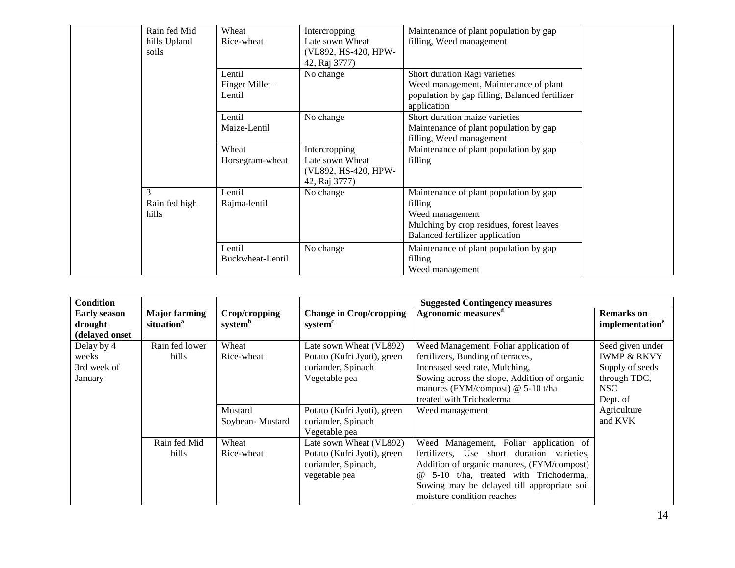| Rain fed Mid  | Wheat            | Intercropping        | Maintenance of plant population by gap         |
|---------------|------------------|----------------------|------------------------------------------------|
| hills Upland  | Rice-wheat       | Late sown Wheat      | filling, Weed management                       |
| soils         |                  | (VL892, HS-420, HPW- |                                                |
|               |                  | 42, Raj 3777)        |                                                |
|               | Lentil           | No change            | Short duration Ragi varieties                  |
|               | Finger Millet -  |                      | Weed management, Maintenance of plant          |
|               | Lentil           |                      | population by gap filling, Balanced fertilizer |
|               |                  |                      | application                                    |
|               | Lentil           | No change            | Short duration maize varieties                 |
|               | Maize-Lentil     |                      | Maintenance of plant population by gap         |
|               |                  |                      | filling, Weed management                       |
|               | Wheat            | Intercropping        | Maintenance of plant population by gap         |
|               | Horsegram-wheat  | Late sown Wheat      | filling                                        |
|               |                  | (VL892, HS-420, HPW- |                                                |
|               |                  | 42, Raj 3777)        |                                                |
| 3             | Lentil           | No change            | Maintenance of plant population by gap         |
| Rain fed high | Rajma-lentil     |                      | filling                                        |
| hills         |                  |                      | Weed management                                |
|               |                  |                      | Mulching by crop residues, forest leaves       |
|               |                  |                      | Balanced fertilizer application                |
|               | Lentil           | No change            | Maintenance of plant population by gap         |
|               | Buckwheat-Lentil |                      | filling                                        |
|               |                  |                      | Weed management                                |

| <b>Condition</b>                                 |                                                |                                      |                                                                                                | <b>Suggested Contingency measures</b>                                                                                                                                                                                                                                |                                                                                                   |
|--------------------------------------------------|------------------------------------------------|--------------------------------------|------------------------------------------------------------------------------------------------|----------------------------------------------------------------------------------------------------------------------------------------------------------------------------------------------------------------------------------------------------------------------|---------------------------------------------------------------------------------------------------|
| <b>Early season</b><br>drought<br>(delayed onset | <b>Major farming</b><br>situation <sup>a</sup> | Crop/cropping<br>system <sup>b</sup> | <b>Change in Crop/cropping</b><br>system <sup>c</sup>                                          | Agronomic measures <sup>d</sup>                                                                                                                                                                                                                                      | <b>Remarks</b> on<br>implementation <sup>e</sup>                                                  |
| Delay by 4<br>weeks<br>3rd week of<br>January    | Rain fed lower<br>hills                        | Wheat<br>Rice-wheat                  | Late sown Wheat (VL892)<br>Potato (Kufri Jyoti), green<br>coriander, Spinach<br>Vegetable pea  | Weed Management, Foliar application of<br>fertilizers, Bunding of terraces,<br>Increased seed rate, Mulching,<br>Sowing across the slope, Addition of organic<br>manures (FYM/compost) @ 5-10 t/ha<br>treated with Trichoderma                                       | Seed given under<br><b>IWMP &amp; RKVY</b><br>Supply of seeds<br>through TDC,<br>NSC.<br>Dept. of |
|                                                  |                                                | Mustard<br>Soybean-Mustard           | Potato (Kufri Jyoti), green<br>coriander, Spinach<br>Vegetable pea                             | Weed management                                                                                                                                                                                                                                                      | Agriculture<br>and KVK                                                                            |
|                                                  | Rain fed Mid<br>hills                          | Wheat<br>Rice-wheat                  | Late sown Wheat (VL892)<br>Potato (Kufri Jyoti), green<br>coriander, Spinach,<br>vegetable pea | Weed Management, Foliar application of<br>fertilizers, Use short duration varieties,<br>Addition of organic manures, (FYM/compost)<br>5-10 t/ha, treated with Trichoderma,,<br>$\omega$<br>Sowing may be delayed till appropriate soil<br>moisture condition reaches |                                                                                                   |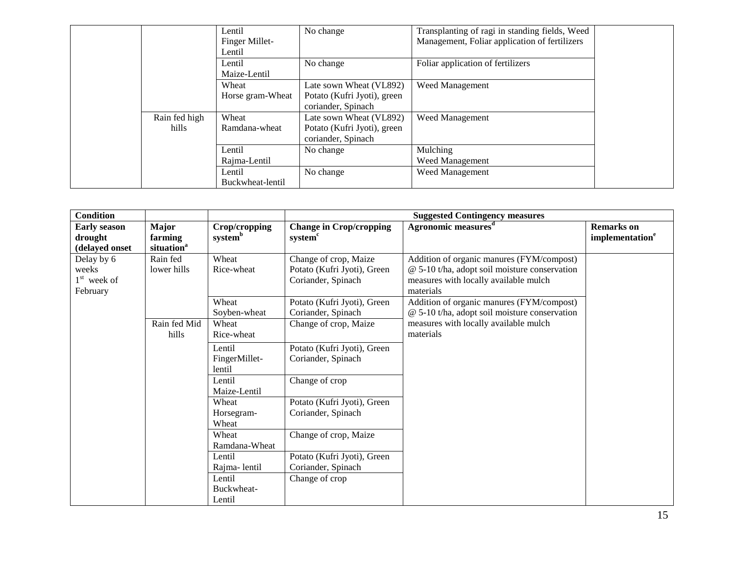|               | Lentil           | No change                   | Transplanting of ragi in standing fields, Weed |  |
|---------------|------------------|-----------------------------|------------------------------------------------|--|
|               | Finger Millet-   |                             | Management, Foliar application of fertilizers  |  |
|               | Lentil           |                             |                                                |  |
|               | Lentil           | No change                   | Foliar application of fertilizers              |  |
|               | Maize-Lentil     |                             |                                                |  |
|               | Wheat            | Late sown Wheat (VL892)     | Weed Management                                |  |
|               | Horse gram-Wheat | Potato (Kufri Jyoti), green |                                                |  |
|               |                  | coriander, Spinach          |                                                |  |
| Rain fed high | Wheat            | Late sown Wheat (VL892)     | <b>Weed Management</b>                         |  |
| hills         | Ramdana-wheat    | Potato (Kufri Jyoti), green |                                                |  |
|               |                  | coriander, Spinach          |                                                |  |
|               | Lentil           | No change                   | Mulching                                       |  |
|               | Rajma-Lentil     |                             | Weed Management                                |  |
|               | Lentil           | No change                   | Weed Management                                |  |
|               | Buckwheat-lentil |                             |                                                |  |

| <b>Condition</b>                                 |                                            |                                      |                                                                            | <b>Suggested Contingency measures</b>                                                                                                            |                                                  |
|--------------------------------------------------|--------------------------------------------|--------------------------------------|----------------------------------------------------------------------------|--------------------------------------------------------------------------------------------------------------------------------------------------|--------------------------------------------------|
| <b>Early season</b><br>drought<br>(delayed onset | Major<br>farming<br>situation <sup>a</sup> | Crop/cropping<br>system <sup>b</sup> | <b>Change in Crop/cropping</b><br>system <sup>c</sup>                      | Agronomic measures <sup>d</sup>                                                                                                                  | <b>Remarks</b> on<br>implementation <sup>e</sup> |
| Delay by 6<br>weeks<br>$1st$ week of<br>February | Rain fed<br>lower hills                    | Wheat<br>Rice-wheat                  | Change of crop, Maize<br>Potato (Kufri Jyoti), Green<br>Coriander, Spinach | Addition of organic manures (FYM/compost)<br>@ 5-10 t/ha, adopt soil moisture conservation<br>measures with locally available mulch<br>materials |                                                  |
|                                                  |                                            | Wheat<br>Soyben-wheat                | Potato (Kufri Jyoti), Green<br>Coriander, Spinach                          | Addition of organic manures (FYM/compost)<br>@ 5-10 t/ha, adopt soil moisture conservation                                                       |                                                  |
| hills                                            | Rain fed Mid                               | Wheat<br>Rice-wheat                  | Change of crop, Maize                                                      | measures with locally available mulch<br>materials                                                                                               |                                                  |
|                                                  |                                            | Lentil<br>FingerMillet-<br>lentil    | Potato (Kufri Jyoti), Green<br>Coriander, Spinach                          |                                                                                                                                                  |                                                  |
|                                                  |                                            | Lentil<br>Maize-Lentil               | Change of crop                                                             |                                                                                                                                                  |                                                  |
|                                                  |                                            | Wheat<br>Horsegram-<br>Wheat         | Potato (Kufri Jyoti), Green<br>Coriander, Spinach                          |                                                                                                                                                  |                                                  |
|                                                  |                                            | Wheat<br>Ramdana-Wheat               | Change of crop, Maize                                                      |                                                                                                                                                  |                                                  |
|                                                  |                                            | Lentil<br>Rajma-lentil               | Potato (Kufri Jyoti), Green<br>Coriander, Spinach                          |                                                                                                                                                  |                                                  |
|                                                  |                                            | Lentil<br>Buckwheat-<br>Lentil       | Change of crop                                                             |                                                                                                                                                  |                                                  |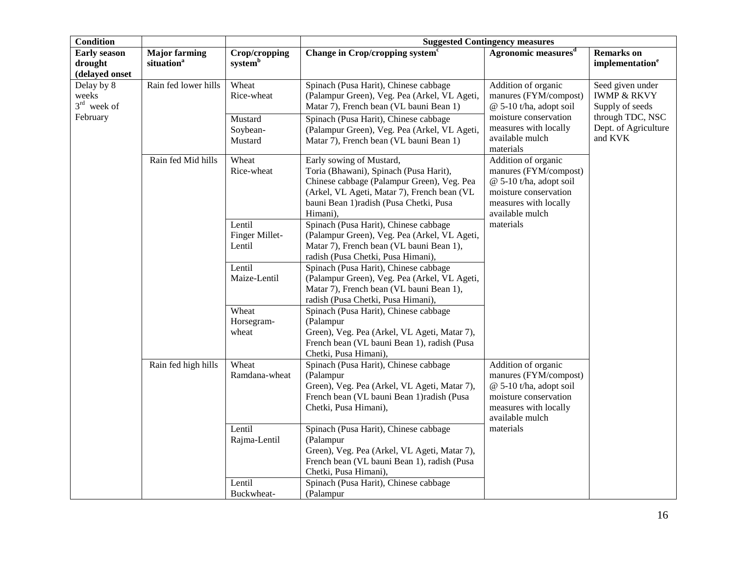| <b>Condition</b>                                 |                                                |                                      | <b>Suggested Contingency measures</b>                                                                                                                                                                                  |                                                                                                                                                |                                                               |  |
|--------------------------------------------------|------------------------------------------------|--------------------------------------|------------------------------------------------------------------------------------------------------------------------------------------------------------------------------------------------------------------------|------------------------------------------------------------------------------------------------------------------------------------------------|---------------------------------------------------------------|--|
| <b>Early season</b><br>drought<br>(delayed onset | <b>Major farming</b><br>situation <sup>a</sup> | Crop/cropping<br>system <sup>b</sup> | Change in Crop/cropping system <sup>c</sup>                                                                                                                                                                            | Agronomic measures <sup>d</sup>                                                                                                                | <b>Remarks</b> on<br>implementation <sup>e</sup>              |  |
| Delay by 8<br>weeks<br>$3rd$ week of             | Rain fed lower hills                           | Wheat<br>Rice-wheat                  | Spinach (Pusa Harit), Chinese cabbage<br>(Palampur Green), Veg. Pea (Arkel, VL Ageti,<br>Matar 7), French bean (VL bauni Bean 1)                                                                                       | Addition of organic<br>manures (FYM/compost)<br>@ 5-10 t/ha, adopt soil                                                                        | Seed given under<br><b>IWMP &amp; RKVY</b><br>Supply of seeds |  |
| February                                         |                                                | Mustard<br>Soybean-<br>Mustard       | Spinach (Pusa Harit), Chinese cabbage<br>(Palampur Green), Veg. Pea (Arkel, VL Ageti,<br>Matar 7), French bean (VL bauni Bean 1)                                                                                       | moisture conservation<br>measures with locally<br>available mulch<br>materials                                                                 | through TDC, NSC<br>Dept. of Agriculture<br>and KVK           |  |
|                                                  | Rain fed Mid hills                             | Wheat<br>Rice-wheat                  | Early sowing of Mustard,<br>Toria (Bhawani), Spinach (Pusa Harit),<br>Chinese cabbage (Palampur Green), Veg. Pea<br>(Arkel, VL Ageti, Matar 7), French bean (VL<br>bauni Bean 1) radish (Pusa Chetki, Pusa<br>Himani), | Addition of organic<br>manures (FYM/compost)<br>$@$ 5-10 t/ha, adopt soil<br>moisture conservation<br>measures with locally<br>available mulch |                                                               |  |
|                                                  |                                                | Lentil<br>Finger Millet-<br>Lentil   | Spinach (Pusa Harit), Chinese cabbage<br>(Palampur Green), Veg. Pea (Arkel, VL Ageti,<br>Matar 7), French bean (VL bauni Bean 1),<br>radish (Pusa Chetki, Pusa Himani),                                                | materials                                                                                                                                      |                                                               |  |
|                                                  |                                                | Lentil<br>Maize-Lentil               | Spinach (Pusa Harit), Chinese cabbage<br>(Palampur Green), Veg. Pea (Arkel, VL Ageti,<br>Matar 7), French bean (VL bauni Bean 1),<br>radish (Pusa Chetki, Pusa Himani),                                                |                                                                                                                                                |                                                               |  |
|                                                  |                                                | Wheat<br>Horsegram-<br>wheat         | Spinach (Pusa Harit), Chinese cabbage<br>(Palampur<br>Green), Veg. Pea (Arkel, VL Ageti, Matar 7),<br>French bean (VL bauni Bean 1), radish (Pusa<br>Chetki, Pusa Himani),                                             |                                                                                                                                                |                                                               |  |
|                                                  | Rain fed high hills                            | Wheat<br>Ramdana-wheat               | Spinach (Pusa Harit), Chinese cabbage<br>(Palampur<br>Green), Veg. Pea (Arkel, VL Ageti, Matar 7),<br>French bean (VL bauni Bean 1) radish (Pusa<br>Chetki, Pusa Himani),                                              | Addition of organic<br>manures (FYM/compost)<br>@ 5-10 t/ha, adopt soil<br>moisture conservation<br>measures with locally<br>available mulch   |                                                               |  |
|                                                  |                                                | Lentil<br>Rajma-Lentil               | Spinach (Pusa Harit), Chinese cabbage<br>(Palampur<br>Green), Veg. Pea (Arkel, VL Ageti, Matar 7),<br>French bean (VL bauni Bean 1), radish (Pusa<br>Chetki, Pusa Himani),                                             | materials                                                                                                                                      |                                                               |  |
|                                                  |                                                | Lentil<br>Buckwheat-                 | Spinach (Pusa Harit), Chinese cabbage<br>(Palampur                                                                                                                                                                     |                                                                                                                                                |                                                               |  |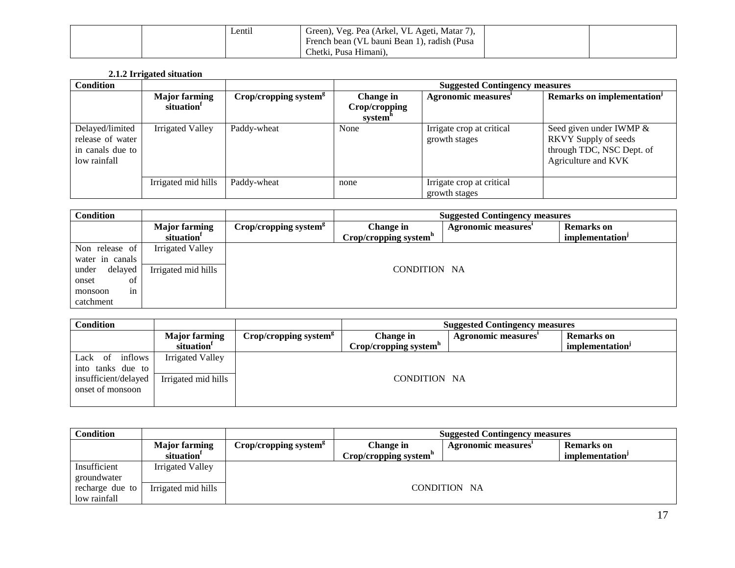|  | Lentil | <sup>1</sup> Green), Veg. Pea (Arkel, VL Ageti, Matar 7), |  |
|--|--------|-----------------------------------------------------------|--|
|  |        | French bean (VL bauni Bean 1), radish (Pusa               |  |
|  |        | Chetki, Pusa Himani),                                     |  |

# **2.1.2 Irrigated situation**

| <b>Condition</b>                                                        |                                                |                                   |                                       | <b>Suggested Contingency measures</b>      |                                                                                                     |  |  |
|-------------------------------------------------------------------------|------------------------------------------------|-----------------------------------|---------------------------------------|--------------------------------------------|-----------------------------------------------------------------------------------------------------|--|--|
|                                                                         | <b>Major farming</b><br>situation <sup>1</sup> | Crop/cropping system <sup>g</sup> | Change in<br>Crop/cropping<br>system" | Agronomic measures'                        | Remarks on implementation <sup>1</sup>                                                              |  |  |
| Delayed/limited<br>release of water<br>in canals due to<br>low rainfall | Irrigated Valley                               | Paddy-wheat                       | None                                  | Irrigate crop at critical<br>growth stages | Seed given under IWMP &<br>RKVY Supply of seeds<br>through TDC, NSC Dept. of<br>Agriculture and KVK |  |  |
|                                                                         | Irrigated mid hills                            | Paddy-wheat                       | none                                  | Irrigate crop at critical<br>growth stages |                                                                                                     |  |  |

| <b>Condition</b> |                                                | <b>Suggested Contingency measures</b> |                                                |                            |                                                  |
|------------------|------------------------------------------------|---------------------------------------|------------------------------------------------|----------------------------|--------------------------------------------------|
|                  | <b>Major farming</b><br>situation <sup>1</sup> | Crop/cropping system <sup>8</sup>     | Change in<br>Crop/cropping system <sup>h</sup> | <b>Agronomic measures'</b> | <b>Remarks</b> on<br>implementation <sup>J</sup> |
| Non release of   | <b>Irrigated Valley</b>                        |                                       |                                                |                            |                                                  |
| water in canals  |                                                |                                       |                                                |                            |                                                  |
| delayed<br>under | Irrigated mid hills                            |                                       | CONDITION NA                                   |                            |                                                  |
| onset<br>οf      |                                                |                                       |                                                |                            |                                                  |
| 1n<br>monsoon    |                                                |                                       |                                                |                            |                                                  |
| catchment        |                                                |                                       |                                                |                            |                                                  |

| <b>Condition</b>                         |                                                | <b>Suggested Contingency measures</b> |                                                |                     |                                                  |
|------------------------------------------|------------------------------------------------|---------------------------------------|------------------------------------------------|---------------------|--------------------------------------------------|
|                                          | <b>Major farming</b><br>situation <sup>1</sup> | Crop/cropping system <sup>g</sup>     | Change in<br>Crop/cropping system <sup>h</sup> | Agronomic measures' | <b>Remarks</b> on<br>implementation <sup>J</sup> |
|                                          |                                                |                                       |                                                |                     |                                                  |
| Lack of inflows<br>into tanks due to     | <b>Irrigated Valley</b>                        |                                       |                                                |                     |                                                  |
| insufficient/delayed<br>onset of monsoon | Irrigated mid hills                            |                                       | CONDITION NA                                   |                     |                                                  |

| Condition       |                        | <b>Suggested Contingency measures</b> |                                   |                     |                   |  |  |
|-----------------|------------------------|---------------------------------------|-----------------------------------|---------------------|-------------------|--|--|
|                 | <b>Major farming</b>   | Crop/cropping system <sup>g</sup>     | Change in                         | Agronomic measures' | <b>Remarks</b> on |  |  |
|                 | situation <sup>1</sup> |                                       | Crop/cropping system <sup>"</sup> |                     | implementation'   |  |  |
| Insufficient    | Irrigated Valley       |                                       |                                   |                     |                   |  |  |
| groundwater     |                        |                                       |                                   |                     |                   |  |  |
| recharge due to | Irrigated mid hills    |                                       |                                   | CONDITION NA        |                   |  |  |
| low rainfall    |                        |                                       |                                   |                     |                   |  |  |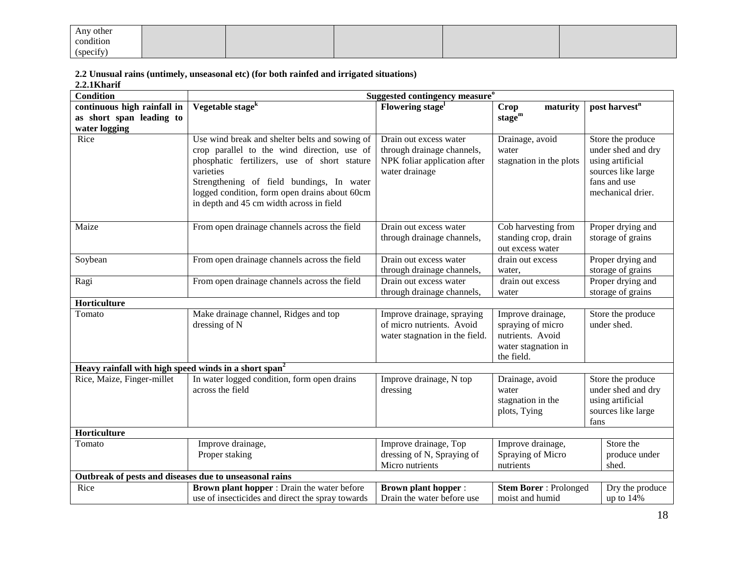| Any other |  |  |  |
|-----------|--|--|--|
| condition |  |  |  |
| (specify) |  |  |  |

**2.2 Unusual rains (untimely, unseasonal etc) (for both rainfed and irrigated situations)**

**2.2.1Kharif** 

| <b>Condition</b>                                                  | Suggested contingency measure <sup>o</sup>                                                    |                                                         |                                       |                                         |  |  |
|-------------------------------------------------------------------|-----------------------------------------------------------------------------------------------|---------------------------------------------------------|---------------------------------------|-----------------------------------------|--|--|
| continuous high rainfall in                                       | Vegetable stage <sup>k</sup>                                                                  | Flowering stage <sup>1</sup>                            | maturity<br>Crop                      | post harvest <sup>n</sup>               |  |  |
| as short span leading to                                          |                                                                                               |                                                         | $stage^m$                             |                                         |  |  |
| water logging                                                     |                                                                                               |                                                         |                                       |                                         |  |  |
| Rice                                                              | Use wind break and shelter belts and sowing of<br>crop parallel to the wind direction, use of | Drain out excess water<br>through drainage channels,    | Drainage, avoid<br>water              | Store the produce<br>under shed and dry |  |  |
|                                                                   | phosphatic fertilizers, use of short stature                                                  | NPK foliar application after                            | stagnation in the plots               | using artificial                        |  |  |
|                                                                   | varieties                                                                                     | water drainage                                          |                                       | sources like large                      |  |  |
|                                                                   | Strengthening of field bundings, In water                                                     |                                                         |                                       | fans and use                            |  |  |
|                                                                   | logged condition, form open drains about 60cm                                                 |                                                         |                                       | mechanical drier.                       |  |  |
|                                                                   | in depth and 45 cm width across in field                                                      |                                                         |                                       |                                         |  |  |
| Maize                                                             | From open drainage channels across the field                                                  | Drain out excess water                                  | Cob harvesting from                   | Proper drying and                       |  |  |
|                                                                   |                                                                                               | through drainage channels,                              | standing crop, drain                  | storage of grains                       |  |  |
|                                                                   |                                                                                               |                                                         | out excess water                      |                                         |  |  |
| Soybean                                                           | From open drainage channels across the field                                                  | Drain out excess water                                  | drain out excess                      | Proper drying and                       |  |  |
|                                                                   |                                                                                               | through drainage channels,                              | water,                                | storage of grains                       |  |  |
| Ragi                                                              | From open drainage channels across the field                                                  | Drain out excess water                                  | drain out excess                      | Proper drying and                       |  |  |
|                                                                   |                                                                                               | through drainage channels,                              | water                                 | storage of grains                       |  |  |
| Horticulture                                                      |                                                                                               |                                                         |                                       |                                         |  |  |
| Tomato                                                            | Make drainage channel, Ridges and top                                                         | Improve drainage, spraying<br>of micro nutrients. Avoid | Improve drainage,                     | Store the produce<br>under shed.        |  |  |
|                                                                   | dressing of N                                                                                 | water stagnation in the field.                          | spraying of micro<br>nutrients. Avoid |                                         |  |  |
|                                                                   |                                                                                               |                                                         | water stagnation in                   |                                         |  |  |
|                                                                   |                                                                                               |                                                         | the field.                            |                                         |  |  |
| Heavy rainfall with high speed winds in a short span <sup>2</sup> |                                                                                               |                                                         |                                       |                                         |  |  |
| Rice, Maize, Finger-millet                                        | In water logged condition, form open drains                                                   | Improve drainage, N top                                 | Drainage, avoid                       | Store the produce                       |  |  |
|                                                                   | across the field                                                                              | dressing                                                | water                                 | under shed and dry                      |  |  |
|                                                                   |                                                                                               |                                                         | stagnation in the                     | using artificial                        |  |  |
|                                                                   |                                                                                               |                                                         | plots, Tying                          | sources like large<br>fans              |  |  |
| Horticulture                                                      |                                                                                               |                                                         |                                       |                                         |  |  |
| Tomato                                                            | Improve drainage,                                                                             | Improve drainage, Top                                   | Improve drainage,                     | Store the                               |  |  |
|                                                                   | Proper staking                                                                                | dressing of N, Spraying of                              | Spraying of Micro                     | produce under                           |  |  |
|                                                                   |                                                                                               | Micro nutrients                                         | nutrients                             | shed.                                   |  |  |
| Outbreak of pests and diseases due to unseasonal rains            |                                                                                               |                                                         |                                       |                                         |  |  |
| Rice                                                              | Brown plant hopper : Drain the water before                                                   | <b>Brown plant hopper:</b>                              | <b>Stem Borer: Prolonged</b>          | Dry the produce                         |  |  |
|                                                                   | use of insecticides and direct the spray towards                                              | Drain the water before use                              | moist and humid                       | up to $14%$                             |  |  |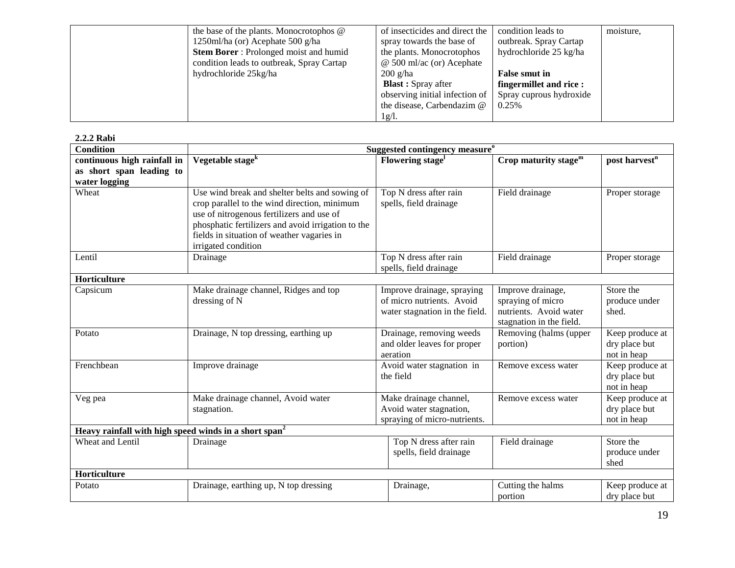| the base of the plants. Monocrotophos @      | of insecticides and direct the   | condition leads to      | moisture, |
|----------------------------------------------|----------------------------------|-------------------------|-----------|
| 1250ml/ha (or) Acephate 500 g/ha             | spray towards the base of        | outbreak. Spray Cartap  |           |
| <b>Stem Borer:</b> Prolonged moist and humid | the plants. Monocrotophos        | hydrochloride 25 kg/ha  |           |
| condition leads to outbreak, Spray Cartap    | $\omega$ 500 ml/ac (or) Acephate |                         |           |
| hydrochloride 25kg/ha                        | $200$ g/ha                       | <b>False smut in</b>    |           |
|                                              | <b>Blast</b> : Spray after       | fingermillet and rice:  |           |
|                                              | observing initial infection of   | Spray cuprous hydroxide |           |
|                                              | the disease, Carbendazim @       | 0.25%                   |           |
|                                              | 1g/l.                            |                         |           |

### **2.2.2 Rabi**

| <b>Condition</b>                                                  | Suggested contingency measure <sup>o</sup>                                                                                                                                                                                                                             |                                                                                           |                                                                                              |                                                 |  |
|-------------------------------------------------------------------|------------------------------------------------------------------------------------------------------------------------------------------------------------------------------------------------------------------------------------------------------------------------|-------------------------------------------------------------------------------------------|----------------------------------------------------------------------------------------------|-------------------------------------------------|--|
| continuous high rainfall in                                       | Vegetable stage <sup>k</sup>                                                                                                                                                                                                                                           | Flowering stage <sup>1</sup>                                                              | Crop maturity stage <sup>m</sup>                                                             | post harvest <sup>n</sup>                       |  |
| as short span leading to<br>water logging                         |                                                                                                                                                                                                                                                                        |                                                                                           |                                                                                              |                                                 |  |
| Wheat                                                             | Use wind break and shelter belts and sowing of<br>crop parallel to the wind direction, minimum<br>use of nitrogenous fertilizers and use of<br>phosphatic fertilizers and avoid irrigation to the<br>fields in situation of weather vagaries in<br>irrigated condition | Top N dress after rain<br>spells, field drainage                                          | Field drainage                                                                               | Proper storage                                  |  |
| Lentil                                                            | Drainage                                                                                                                                                                                                                                                               | Top N dress after rain<br>spells, field drainage                                          | Field drainage                                                                               | Proper storage                                  |  |
| Horticulture                                                      |                                                                                                                                                                                                                                                                        |                                                                                           |                                                                                              |                                                 |  |
| Capsicum                                                          | Make drainage channel, Ridges and top<br>dressing of N                                                                                                                                                                                                                 | Improve drainage, spraying<br>of micro nutrients. Avoid<br>water stagnation in the field. | Improve drainage,<br>spraying of micro<br>nutrients. Avoid water<br>stagnation in the field. | Store the<br>produce under<br>shed.             |  |
| Potato                                                            | Drainage, N top dressing, earthing up                                                                                                                                                                                                                                  | Drainage, removing weeds<br>and older leaves for proper<br>aeration                       | Removing (halms (upper<br>portion)                                                           | Keep produce at<br>dry place but<br>not in heap |  |
| Frenchbean                                                        | Improve drainage                                                                                                                                                                                                                                                       | Avoid water stagnation in<br>the field                                                    | Remove excess water                                                                          | Keep produce at<br>dry place but<br>not in heap |  |
| Veg pea                                                           | Make drainage channel, Avoid water<br>stagnation.                                                                                                                                                                                                                      | Make drainage channel,<br>Avoid water stagnation,<br>spraying of micro-nutrients.         | Remove excess water                                                                          | Keep produce at<br>dry place but<br>not in heap |  |
| Heavy rainfall with high speed winds in a short span <sup>2</sup> |                                                                                                                                                                                                                                                                        |                                                                                           |                                                                                              |                                                 |  |
| <b>Wheat and Lentil</b>                                           | Drainage                                                                                                                                                                                                                                                               | Top N dress after rain<br>spells, field drainage                                          | Field drainage                                                                               | Store the<br>produce under<br>shed              |  |
| Horticulture                                                      |                                                                                                                                                                                                                                                                        |                                                                                           |                                                                                              |                                                 |  |
| Potato                                                            | Drainage, earthing up, N top dressing                                                                                                                                                                                                                                  | Drainage,                                                                                 | Cutting the halms<br>portion                                                                 | Keep produce at<br>dry place but                |  |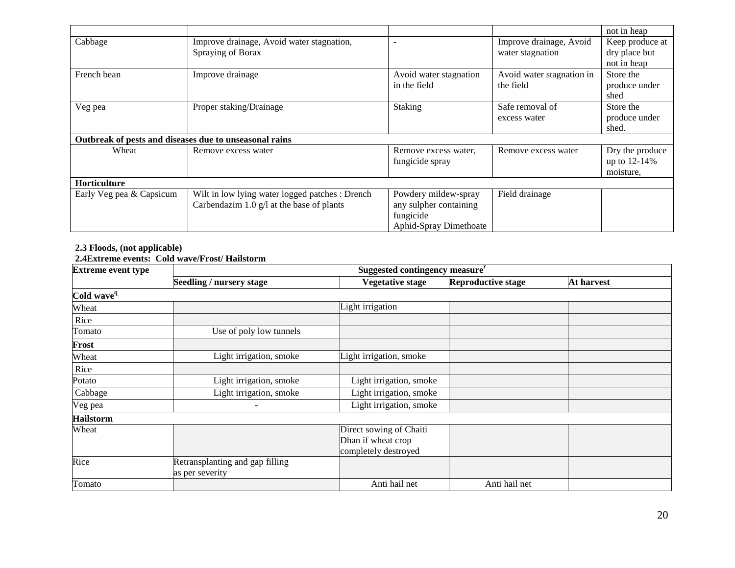|                          |                                                        |                               |                           | not in heap     |  |  |
|--------------------------|--------------------------------------------------------|-------------------------------|---------------------------|-----------------|--|--|
| Cabbage                  | Improve drainage, Avoid water stagnation,              | $\overline{\phantom{a}}$      | Improve drainage, Avoid   | Keep produce at |  |  |
|                          | Spraying of Borax                                      |                               | water stagnation          | dry place but   |  |  |
|                          |                                                        |                               |                           | not in heap     |  |  |
| French bean              | Improve drainage                                       | Avoid water stagnation        | Avoid water stagnation in | Store the       |  |  |
|                          |                                                        | in the field                  | the field                 | produce under   |  |  |
|                          |                                                        |                               |                           | shed            |  |  |
| Veg pea                  | Proper staking/Drainage                                | Staking                       | Safe removal of           | Store the       |  |  |
|                          |                                                        |                               | excess water              | produce under   |  |  |
|                          |                                                        |                               |                           | shed.           |  |  |
|                          | Outbreak of pests and diseases due to unseasonal rains |                               |                           |                 |  |  |
| Wheat                    | Remove excess water                                    | Remove excess water,          | Remove excess water       | Dry the produce |  |  |
|                          |                                                        | fungicide spray               |                           | up to 12-14%    |  |  |
|                          |                                                        |                               |                           | moisture,       |  |  |
| <b>Horticulture</b>      |                                                        |                               |                           |                 |  |  |
| Early Veg pea & Capsicum | Wilt in low lying water logged patches : Drench        | Powdery mildew-spray          | Field drainage            |                 |  |  |
|                          | Carbendazim 1.0 $g/l$ at the base of plants            | any sulpher containing        |                           |                 |  |  |
|                          |                                                        | fungicide                     |                           |                 |  |  |
|                          |                                                        | <b>Aphid-Spray Dimethoate</b> |                           |                 |  |  |

## **2.3 Floods, (not applicable)**

### **2.4Extreme events: Cold wave/Frost/ Hailstorm**

| <b>Extreme event type</b> | Suggested contingency measure <sup>r</sup> |                         |                           |                   |
|---------------------------|--------------------------------------------|-------------------------|---------------------------|-------------------|
|                           | Seedling / nursery stage                   | <b>Vegetative stage</b> | <b>Reproductive stage</b> | <b>At harvest</b> |
| Cold wave <sup>q</sup>    |                                            |                         |                           |                   |
| Wheat                     |                                            | Light irrigation        |                           |                   |
| Rice                      |                                            |                         |                           |                   |
| Tomato                    | Use of poly low tunnels                    |                         |                           |                   |
| Frost                     |                                            |                         |                           |                   |
| Wheat                     | Light irrigation, smoke                    | Light irrigation, smoke |                           |                   |
| Rice                      |                                            |                         |                           |                   |
| Potato                    | Light irrigation, smoke                    | Light irrigation, smoke |                           |                   |
| Cabbage                   | Light irrigation, smoke                    | Light irrigation, smoke |                           |                   |
| Veg pea                   |                                            | Light irrigation, smoke |                           |                   |
| <b>Hailstorm</b>          |                                            |                         |                           |                   |
| Wheat                     |                                            | Direct sowing of Chaiti |                           |                   |
|                           |                                            | Dhan if wheat crop      |                           |                   |
|                           |                                            | completely destroyed    |                           |                   |
| Rice                      | Retransplanting and gap filling            |                         |                           |                   |
|                           | as per severity                            |                         |                           |                   |
| Tomato                    |                                            | Anti hail net           | Anti hail net             |                   |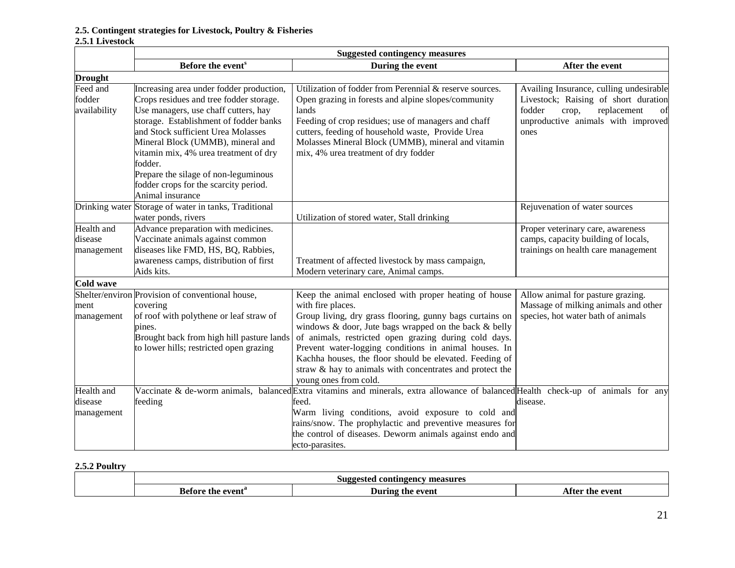#### **2.5. Contingent strategies for Livestock, Poultry & Fisheries**

#### **2.5.1 Livestock**

|                                     | <b>Suggested contingency measures</b>                                                                                                                                                                                                                                                                                                                                                                     |                                                                                                                                                                                                                                                                                                                                                                                                                                                                   |                                                                                                                                                                       |  |
|-------------------------------------|-----------------------------------------------------------------------------------------------------------------------------------------------------------------------------------------------------------------------------------------------------------------------------------------------------------------------------------------------------------------------------------------------------------|-------------------------------------------------------------------------------------------------------------------------------------------------------------------------------------------------------------------------------------------------------------------------------------------------------------------------------------------------------------------------------------------------------------------------------------------------------------------|-----------------------------------------------------------------------------------------------------------------------------------------------------------------------|--|
|                                     | Before the event <sup>s</sup>                                                                                                                                                                                                                                                                                                                                                                             | During the event                                                                                                                                                                                                                                                                                                                                                                                                                                                  | After the event                                                                                                                                                       |  |
| <b>Drought</b>                      |                                                                                                                                                                                                                                                                                                                                                                                                           |                                                                                                                                                                                                                                                                                                                                                                                                                                                                   |                                                                                                                                                                       |  |
| Feed and<br>fodder<br>availability  | Increasing area under fodder production,<br>Crops residues and tree fodder storage.<br>Use managers, use chaff cutters, hay<br>storage. Establishment of fodder banks<br>and Stock sufficient Urea Molasses<br>Mineral Block (UMMB), mineral and<br>vitamin mix, 4% urea treatment of dry<br>fodder.<br>Prepare the silage of non-leguminous<br>fodder crops for the scarcity period.<br>Animal insurance | Utilization of fodder from Perennial & reserve sources.<br>Open grazing in forests and alpine slopes/community<br>lands<br>Feeding of crop residues; use of managers and chaff<br>cutters, feeding of household waste, Provide Urea<br>Molasses Mineral Block (UMMB), mineral and vitamin<br>mix, 4% urea treatment of dry fodder                                                                                                                                 | Availing Insurance, culling undesirable<br>Livestock; Raising of short duration<br>fodder<br>replacement<br>crop,<br>of<br>unproductive animals with improved<br>ones |  |
|                                     | Drinking water Storage of water in tanks, Traditional<br>water ponds, rivers                                                                                                                                                                                                                                                                                                                              | Utilization of stored water, Stall drinking                                                                                                                                                                                                                                                                                                                                                                                                                       | Rejuvenation of water sources                                                                                                                                         |  |
| Health and<br>disease<br>management | Advance preparation with medicines.<br>Vaccinate animals against common<br>diseases like FMD, HS, BQ, Rabbies,<br>awareness camps, distribution of first<br>Aids kits.                                                                                                                                                                                                                                    | Treatment of affected livestock by mass campaign,<br>Modern veterinary care, Animal camps.                                                                                                                                                                                                                                                                                                                                                                        | Proper veterinary care, awareness<br>camps, capacity building of locals,<br>trainings on health care management                                                       |  |
| Cold wave                           |                                                                                                                                                                                                                                                                                                                                                                                                           |                                                                                                                                                                                                                                                                                                                                                                                                                                                                   |                                                                                                                                                                       |  |
| ment<br>management                  | Shelter/environ Provision of conventional house,<br>covering<br>of roof with polythene or leaf straw of<br>pines.<br>Brought back from high hill pasture lands<br>to lower hills; restricted open grazing                                                                                                                                                                                                 | Keep the animal enclosed with proper heating of house<br>with fire places.<br>Group living, dry grass flooring, gunny bags curtains on<br>windows & door, Jute bags wrapped on the back & belly<br>of animals, restricted open grazing during cold days.<br>Prevent water-logging conditions in animal houses. In<br>Kachha houses, the floor should be elevated. Feeding of<br>straw & hay to animals with concentrates and protect the<br>young ones from cold. | Allow animal for pasture grazing.<br>Massage of milking animals and other<br>species, hot water bath of animals                                                       |  |
| Health and<br>disease<br>management | feeding                                                                                                                                                                                                                                                                                                                                                                                                   | Vaccinate & de-worm animals, balanced Extra vitamins and minerals, extra allowance of balanced Health check-up of animals for any<br>feed.<br>Warm living conditions, avoid exposure to cold and<br>rains/snow. The prophylactic and preventive measures for<br>the control of diseases. Deworm animals against endo and<br>ecto-parasites.                                                                                                                       | disease.                                                                                                                                                              |  |

# **2.5.2 Poultry**

| <sup>7</sup> measures<br>. contingency<br>Suggested |                  |                    |
|-----------------------------------------------------|------------------|--------------------|
| sefore the event                                    | During the event | After<br>the event |